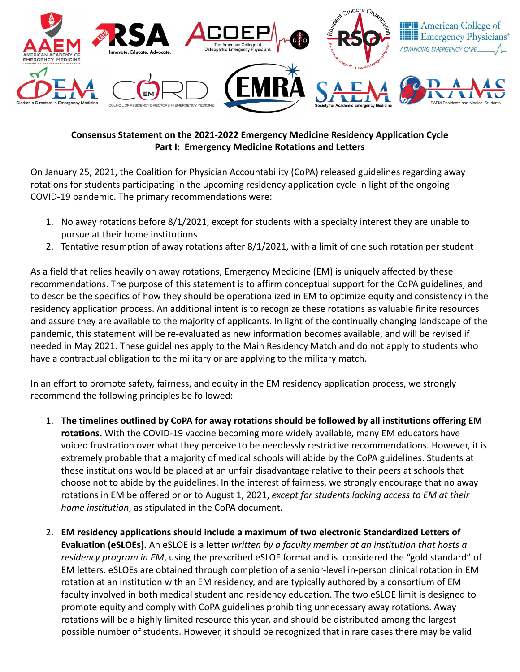

## **Consensus Statement on the 2021-2022 Emergency Medicine Residency Application Cycle Part I: Emergency Medicine Rotations and Letters**

On January 25, 2021, the Coalition for Physician Accountability (CoPA) released guidelines regarding away rotations for students participating in the upcoming residency application cycle in light of the ongoing COVID-19 pandemic. The primary recommendations were:

- 1. No away rotations before 8/1/2021, except for students with a specialty interest they are unable to pursue at their home institutions
- 2. Tentative resumption of away rotations after 8/1/2021, with a limit of one such rotation per student

As a field that relies heavily on away rotations, Emergency Medicine (EM) is uniquely affected by these recommendations. The purpose of this statement is to affirm conceptual support for the CoPA guidelines, and to describe the specifics of how they should be operationalized in EM to optimize equity and consistency in the residency application process. An additional intent is to recognize these rotations as valuable finite resources and assure they are available to the majority of applicants. In light of the continually changing landscape of the pandemic, this statement will be re-evaluated as new information becomes available, and will be revised if needed in May 2021. These guidelines apply to the Main Residency Match and do not apply to students who have a contractual obligation to the military or are applying to the military match.

In an effort to promote safety, fairness, and equity in the EM residency application process, we strongly recommend the following principles be followed:

- 1. **The timelines outlined by CoPA for away rotations should be followed by all institutions offering EM rotations.** With the COVID-19 vaccine becoming more widely available, many EM educators have voiced frustration over what they perceive to be needlessly restrictive recommendations. However, it is extremely probable that a majority of medical schools will abide by the CoPA guidelines. Students at these institutions would be placed at an unfair disadvantage relative to their peers at schools that choose not to abide by the guidelines. In the interest of fairness, we strongly encourage that no away rotations in EM be offered prior to August 1, 2021, *except for students lacking access to EM at their home institution*, as stipulated in the CoPA document.
- 2. **EM residency applications should include a maximum of two electronic Standardized Letters of Evaluation (eSLOEs).** An eSLOE is a letter *written by a faculty member at an institution that hosts a residency program in EM*, using the prescribed eSLOE format and is considered the "gold standard" of EM letters. eSLOEs are obtained through completion of a senior-level in-person clinical rotation in EM rotation at an institution with an EM residency, and are typically authored by a consortium of EM faculty involved in both medical student and residency education. The two eSLOE limit is designed to promote equity and comply with CoPA guidelines prohibiting unnecessary away rotations. Away rotations will be a highly limited resource this year, and should be distributed among the largest possible number of students. However, it should be recognized that in rare cases there may be valid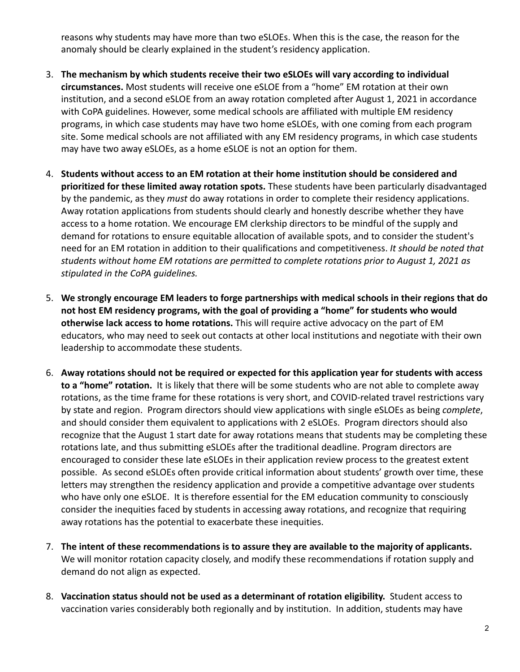reasons why students may have more than two eSLOEs. When this is the case, the reason for the anomaly should be clearly explained in the student's residency application.

- 3. **The mechanism by which students receive their two eSLOEs will vary according to individual circumstances.** Most students will receive one eSLOE from a "home" EM rotation at their own institution, and a second eSLOE from an away rotation completed after August 1, 2021 in accordance with CoPA guidelines. However, some medical schools are affiliated with multiple EM residency programs, in which case students may have two home eSLOEs, with one coming from each program site. Some medical schools are not affiliated with any EM residency programs, in which case students may have two away eSLOEs, as a home eSLOE is not an option for them.
- 4. **Students without access to an EM rotation at their home institution should be considered and prioritized for these limited away rotation spots.** These students have been particularly disadvantaged by the pandemic, as they *must* do away rotations in order to complete their residency applications. Away rotation applications from students should clearly and honestly describe whether they have access to a home rotation. We encourage EM clerkship directors to be mindful of the supply and demand for rotations to ensure equitable allocation of available spots, and to consider the student's need for an EM rotation in addition to their qualifications and competitiveness. *It should be noted that students without home EM rotations are permitted to complete rotations prior to August 1, 2021 as stipulated in the CoPA guidelines.*
- 5. **We strongly encourage EM leaders to forge partnerships with medical schools in their regions that do not host EM residency programs, with the goal of providing a "home" for students who would otherwise lack access to home rotations.** This will require active advocacy on the part of EM educators, who may need to seek out contacts at other local institutions and negotiate with their own leadership to accommodate these students.
- 6. **Away rotations should not be required or expected for this application year for students with access to a "home" rotation.** It is likely that there will be some students who are not able to complete away rotations, as the time frame for these rotations is very short, and COVID-related travel restrictions vary by state and region. Program directors should view applications with single eSLOEs as being *complete*, and should consider them equivalent to applications with 2 eSLOEs. Program directors should also recognize that the August 1 start date for away rotations means that students may be completing these rotations late, and thus submitting eSLOEs after the traditional deadline. Program directors are encouraged to consider these late eSLOEs in their application review process to the greatest extent possible. As second eSLOEs often provide critical information about students' growth over time, these letters may strengthen the residency application and provide a competitive advantage over students who have only one eSLOE. It is therefore essential for the EM education community to consciously consider the inequities faced by students in accessing away rotations, and recognize that requiring away rotations has the potential to exacerbate these inequities.
- 7. **The intent of these recommendations is to assure they are available to the majority of applicants.** We will monitor rotation capacity closely, and modify these recommendations if rotation supply and demand do not align as expected.
- 8. **Vaccination status should not be used as a determinant of rotation eligibility.** Student access to vaccination varies considerably both regionally and by institution. In addition, students may have